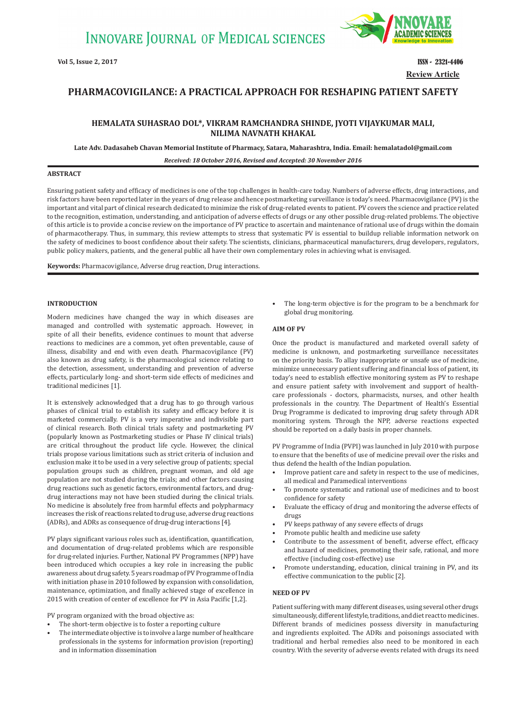

**Review Article Vol 5, Issue 2, 2017** ISSN - 2321-4406

# **PHARMACOVIGILANCE: A PRACTICAL APPROACH FOR RESHAPING PATIENT SAFETY**

## **HEMALATA SUHASRAO DOL\*, VIKRAM RAMCHANDRA SHINDE, JYOTI VIJAYKUMAR MALI, NILIMA NAVNATH KHAKAL**

**Late Adv. Dadasaheb Chavan Memorial Institute of Pharmacy, Satara, Maharashtra, India. Email: hemalatadol@gmail.com**

*Received: 18 October 2016, Revised and Accepted: 30 November 2016*

## **ABSTRACT**

Ensuring patient safety and efficacy of medicines is one of the top challenges in health-care today. Numbers of adverse effects, drug interactions, and risk factors have been reported later in the years of drug release and hence postmarketing surveillance is today's need. Pharmacovigilance (PV) is the important and vital part of clinical research dedicated to minimize the risk of drug-related events to patient. PV covers the science and practice related to the recognition, estimation, understanding, and anticipation of adverse effects of drugs or any other possible drug-related problems. The objective of this article is to provide a concise review on the importance of PV practice to ascertain and maintenance of rational use of drugs within the domain of pharmacotherapy. Thus, in summary, this review attempts to stress that systematic PV is essential to buildup reliable information network on the safety of medicines to boost confidence about their safety. The scientists, clinicians, pharmaceutical manufacturers, drug developers, regulators, public policy makers, patients, and the general public all have their own complementary roles in achieving what is envisaged.

**Keywords:** Pharmacovigilance, Adverse drug reaction, Drug interactions.

## **INTRODUCTION**

Modern medicines have changed the way in which diseases are managed and controlled with systematic approach. However, in spite of all their benefits, evidence continues to mount that adverse reactions to medicines are a common, yet often preventable, cause of illness, disability and end with even death. Pharmacovigilance (PV) also known as drug safety, is the pharmacological science relating to the detection, assessment, understanding and prevention of adverse effects, particularly long- and short-term side effects of medicines and traditional medicines [1].

It is extensively acknowledged that a drug has to go through various phases of clinical trial to establish its safety and efficacy before it is marketed commercially. PV is a very imperative and indivisible part of clinical research. Both clinical trials safety and postmarketing PV (popularly known as Postmarketing studies or Phase IV clinical trials) are critical throughout the product life cycle. However, the clinical trials propose various limitations such as strict criteria of inclusion and exclusion make it to be used in a very selective group of patients; special population groups such as children, pregnant woman, and old age population are not studied during the trials; and other factors causing drug reactions such as genetic factors, environmental factors, and drugdrug interactions may not have been studied during the clinical trials. No medicine is absolutely free from harmful effects and polypharmacy increases the risk of reactions related to drug use, adverse drug reactions (ADRs), and ADRs as consequence of drug-drug interactions [4].

PV plays significant various roles such as, identification, quantification, and documentation of drug-related problems which are responsible for drug-related injuries. Further, National PV Programmes (NPP) have been introduced which occupies a key role in increasing the public awareness about drug safety. 5 years roadmap of PV Programme of India with initiation phase in 2010 followed by expansion with consolidation, maintenance, optimization, and finally achieved stage of excellence in 2015 with creation of center of excellence for PV in Asia Pacific [1,2].

PV program organized with the broad objective as:

- The short-term objective is to foster a reporting culture
- The intermediate objective is to involve a large number of healthcare professionals in the systems for information provision (reporting) and in information dissemination

The long-term objective is for the program to be a benchmark for global drug monitoring.

## **AIM OF PV**

Once the product is manufactured and marketed overall safety of medicine is unknown, and postmarketing surveillance necessitates on the priority basis. To allay inappropriate or unsafe use of medicine, minimize unnecessary patient suffering and financial loss of patient, its today's need to establish effective monitoring system as PV to reshape and ensure patient safety with involvement and support of healthcare professionals - doctors, pharmacists, nurses, and other health professionals in the country. The Department of Health's Essential Drug Programme is dedicated to improving drug safety through ADR monitoring system. Through the NPP, adverse reactions expected should be reported on a daily basis in proper channels.

PV Programme of India (PVPI) was launched in July 2010 with purpose to ensure that the benefits of use of medicine prevail over the risks and thus defend the health of the Indian population.

- Improve patient care and safety in respect to the use of medicines, all medical and Paramedical interventions
- To promote systematic and rational use of medicines and to boost confidence for safety
- Evaluate the efficacy of drug and monitoring the adverse effects of drugs
- PV keeps pathway of any severe effects of drugs
- Promote public health and medicine use safety
- Contribute to the assessment of benefit, adverse effect, efficacy and hazard of medicines, promoting their safe, rational, and more effective (including cost-effective) use
- Promote understanding, education, clinical training in PV, and its effective communication to the public [2].

## **NEED OF PV**

Patient suffering with many different diseases, using several other drugs simultaneously, different lifestyle, traditions, and diet react to medicines. Different brands of medicines possess diversity in manufacturing and ingredients exploited. The ADRs and poisonings associated with traditional and herbal remedies also need to be monitored in each country. With the severity of adverse events related with drugs its need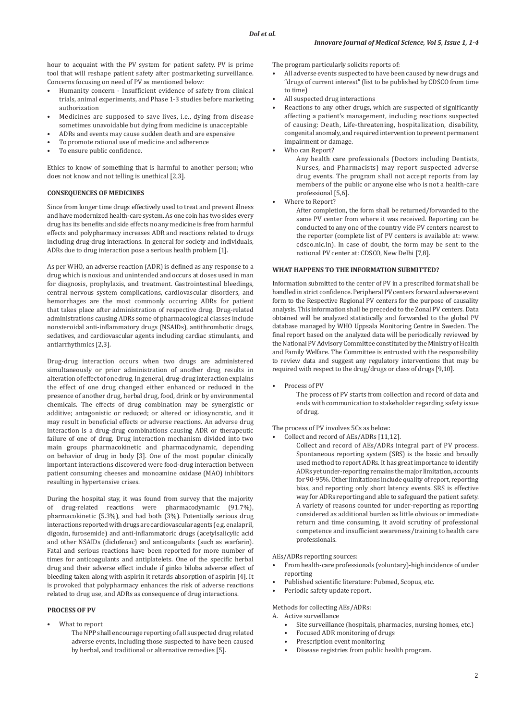hour to acquaint with the PV system for patient safety. PV is prime tool that will reshape patient safety after postmarketing surveillance. Concerns focusing on need of PV as mentioned below:

- Humanity concern Insufficient evidence of safety from clinical trials, animal experiments, and Phase 1-3 studies before marketing authorization
- Medicines are supposed to save lives, i.e., dying from disease sometimes unavoidable but dying from medicine is unacceptable
- ADRs and events may cause sudden death and are expensive
- To promote rational use of medicine and adherence
- To ensure public confidence.

Ethics to know of something that is harmful to another person; who does not know and not telling is unethical [2,3].

#### **CONSEQUENCES OF MEDICINES**

Since from longer time drugs effectively used to treat and prevent illness and have modernized health-care system. As one coin has two sides every drug has its benefits and side effects no any medicine is free from harmful effects and polypharmacy increases ADR and reactions related to drugs including drug-drug interactions. In general for society and individuals, ADRs due to drug interaction pose a serious health problem [1].

As per WHO, an adverse reaction (ADR) is defined as any response to a drug which is noxious and unintended and occurs at doses used in man for diagnosis, prophylaxis, and treatment. Gastrointestinal bleedings, central nervous system complications, cardiovascular disorders, and hemorrhages are the most commonly occurring ADRs for patient that takes place after administration of respective drug. Drug-related administrations causing ADRs some of pharmacological classes include nonsteroidal anti-inflammatory drugs (NSAIDs), antithrombotic drugs, sedatives, and cardiovascular agents including cardiac stimulants, and antiarrhythmics [2,3].

Drug-drug interaction occurs when two drugs are administered simultaneously or prior administration of another drug results in alteration of effect of one drug. In general, drug-drug interaction explains the effect of one drug changed either enhanced or reduced in the presence of another drug, herbal drug, food, drink or by environmental chemicals. The effects of drug combination may be synergistic or additive; antagonistic or reduced; or altered or idiosyncratic, and it may result in beneficial effects or adverse reactions. An adverse drug interaction is a drug-drug combinations causing ADR or therapeutic failure of one of drug. Drug interaction mechanism divided into two main groups pharmacokinetic and pharmacodynamic, depending on behavior of drug in body [3]. One of the most popular clinically important interactions discovered were food-drug interaction between patient consuming cheeses and monoamine oxidase (MAO) inhibitors resulting in hypertensive crises.

During the hospital stay, it was found from survey that the majority of drug-related reactions were pharmacodynamic (91.7%), pharmacokinetic (5.3%), and had both (3%). Potentially serious drug interactions reported with drugs are cardiovascular agents (e.g. enalapril, digoxin, furosemide) and anti-inflammatoric drugs (acetylsalicylic acid and other NSAIDs (diclofenac) and anticoagulants (such as warfarin). Fatal and serious reactions have been reported for more number of times for anticoagulants and antiplatelets. One of the specific herbal drug and their adverse effect include if ginko biloba adverse effect of bleeding taken along with aspirin it retards absorption of aspirin [4]. It is provoked that polypharmacy enhances the risk of adverse reactions related to drug use, and ADRs as consequence of drug interactions.

#### **PROCESS OF PV**

- What to report
	- The NPP shall encourage reporting of all suspected drug related adverse events, including those suspected to have been caused by herbal, and traditional or alternative remedies [5].

The program particularly solicits reports of:

- All adverse events suspected to have been caused by new drugs and "drugs of current interest"(list to be published by CDSCO from time to time)
- All suspected drug interactions
- Reactions to any other drugs, which are suspected of significantly affecting a patient's management, including reactions suspected of causing: Death, Life-threatening, hospitalization, disability, congenital anomaly, and required intervention to prevent permanent impairment or damage.
- Who can Report?

Any health care professionals (Doctors including Dentists, Nurses, and Pharmacists) may report suspected adverse drug events. The program shall not accept reports from lay members of the public or anyone else who is not a health-care professional [5,6].

Where to Report?

After completion, the form shall be returned/forwarded to the same PV center from where it was received. Reporting can be conducted to any one of the country vide PV centers nearest to the reporter (complete list of PV centers is available at: www. cdsco.nic.in). In case of doubt, the form may be sent to the national PV center at: CDSCO, New Delhi [7,8].

#### **WHAT HAPPENS TO THE INFORMATION SUBMITTED?**

Information submitted to the center of PV in a prescribed format shall be handled in strict confidence. Peripheral PV centers forward adverse event form to the Respective Regional PV centers for the purpose of causality analysis. This information shall be preceded to the Zonal PV centers. Data obtained will be analyzed statistically and forwarded to the global PV database managed by WHO Uppsala Monitoring Centre in Sweden. The final report based on the analyzed data will be periodically reviewed by the National PV Advisory Committee constituted by the Ministry of Health and Family Welfare. The Committee is entrusted with the responsibility to review data and suggest any regulatory interventions that may be required with respect to the drug/drugs or class of drugs [9,10].

Process of PV

The process of PV starts from collection and record of data and ends with communication to stakeholder regarding safety issue of drug.

The process of PV involves 5Cs as below:

- Collect and record of AEs/ADRs [11,12].
	- Collect and record of AEs/ADRs integral part of PV process. Spontaneous reporting system (SRS) is the basic and broadly used method to report ADRs. It has great importance to identify ADRs yet under-reporting remains the major limitation, accounts for 90-95%. Other limitations include quality of report, reporting bias, and reporting only short latency events. SRS is effective way for ADRs reporting and able to safeguard the patient safety. A variety of reasons counted for under-reporting as reporting considered as additional burden as little obvious or immediate return and time consuming, it avoid scrutiny of professional competence and insufficient awareness/training to health care professionals.

AEs/ADRs reporting sources:

- From health-care professionals (voluntary)-high incidence of under reporting
- Published scientific literature: Pubmed, Scopus, etc.
- Periodic safety update report.

Methods for collecting AEs/ADRs:

A. Active surveillance

- Site surveillance (hospitals, pharmacies, nursing homes, etc.)<br>• Focused ADR monitoring of drugs
- Focused ADR monitoring of drugs
- Prescription event monitoring
- Disease registries from public health program.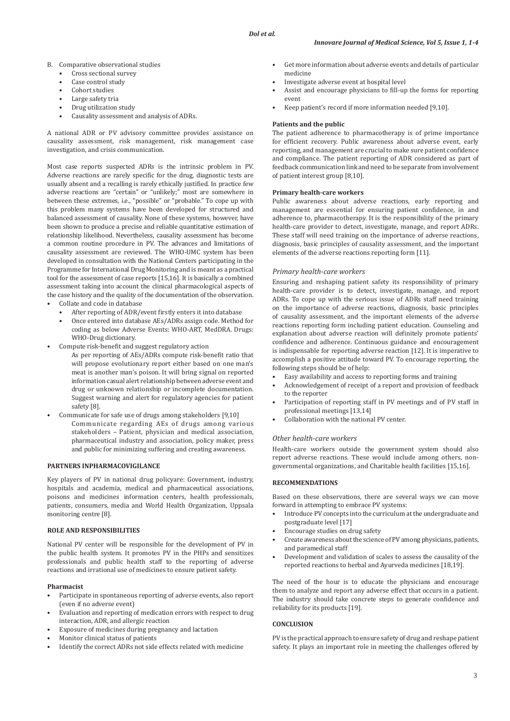- B. Comparative observational studies
	- Cross sectional survey
	- Case control study
	- Cohort studies
	- Large safety tria
	- Drug utilization study
	- Causality assessment and analysis of ADRs.

A national ADR or PV advisory committee provides assistance on causality assessment, risk management, risk management case investigation, and crisis communication.

Most case reports suspected ADRs is the intrinsic problem in PV. Adverse reactions are rarely specific for the drug, diagnostic tests are usually absent and a recalling is rarely ethically justified. In practice few adverse reactions are "certain" or "unlikely;" most are somewhere in between these extremes, i.e., "possible" or "probable." To cope up with this problem many systems have been developed for structured and balanced assessment of causality. None of these systems, however, have been shown to produce a precise and reliable quantitative estimation of relationship likelihood. Nevertheless, causality assessment has become a common routine procedure in PV. The advances and limitations of causality assessment are reviewed. The WHO-UMC system has been developed in consultation with the National Centers participating in the Programme for International Drug Monitoring and is meant as a practical tool for the assessment of case reports [15,16]. It is basically a combined assessment taking into account the clinical pharmacological aspects of the case history and the quality of the documentation of the observation.

- Collate and code in database
	- After reporting of ADR/event firstly enters it into database
	- Once entered into database AEs/ADRs assign code. Method for coding as below Adverse Events: WHO-ART, MedDRA. Drugs: WHO-Drug dictionary.
- Compute risk-benefit and suggest regulatory action
- As per reporting of AEs/ADRs compute risk-benefit ratio that will propose evolutionary report either based on one man's meat is another man's poison. It will bring signal on reported information casual alert relationship between adverse event and drug or unknown relationship or incomplete documentation. Suggest warning and alert for regulatory agencies for patient safety [8].
- Communicate for safe use of drugs among stakeholders [9,10] Communicate regarding AEs of drugs among various stakeholders – Patient, physician and medical association, pharmaceutical industry and association, policy maker, press and public for minimizing suffering and creating awareness.

#### **PARTNERS INPHARMACOVIGILANCE**

Key players of PV in national drug policyare: Government, industry, hospitals and academia, medical and pharmaceutical associations, poisons and medicines information centers, health professionals, patients, consumers, media and World Health Organization, Uppsala monitoring centre [8].

## **ROLE AND RESPONSIBILITIES**

National PV center will be responsible for the development of PV in the public health system. It promotes PV in the PHPs and sensitizes professionals and public health staff to the reporting of adverse reactions and irrational use of medicines to ensure patient safety.

#### **Pharmacist**

- Participate in spontaneous reporting of adverse events, also report (even if no adverse event)
- Evaluation and reporting of medication errors with respect to drug interaction, ADR, and allergic reaction
- Exposure of medicines during pregnancy and lactation
- Monitor clinical status of patients
- Identify the correct ADRs not side effects related with medicine
- Get more information about adverse events and details of particular medicine
- Investigate adverse event at hospital level
- Assist and encourage physicians to fill-up the forms for reporting event
- Keep patient's record if more information needed [9,10].

#### **Patients and the public**

The patient adherence to pharmacotherapy is of prime importance for efficient recovery. Public awareness about adverse event, early reporting, and management are crucial to make sure patient confidence and compliance. The patient reporting of ADR considered as part of feedback communication link and need to be separate from involvement of patient interest group [8,10].

#### **Primary health-care workers**

Public awareness about adverse reactions, early reporting and management are essential for ensuring patient confidence, in and adherence to, pharmacotherapy. It is the responsibility of the primary health-care provider to detect, investigate, manage, and report ADRs. These staff will need training on the importance of adverse reactions, diagnosis, basic principles of causality assessment, and the important elements of the adverse reactions reporting form [11].

#### *Primary health-care workers*

Ensuring and reshaping patient safety its responsibility of primary health-care provider is to detect, investigate, manage, and report ADRs. To cope up with the serious issue of ADRs staff need training on the importance of adverse reactions, diagnosis, basic principles of causality assessment, and the important elements of the adverse reactions reporting form including patient education. Counseling and explanation about adverse reaction will definitely promote patients' confidence and adherence. Continuous guidance and encouragement is indispensable for reporting adverse reaction [12]. It is imperative to accomplish a positive attitude toward PV. To encourage reporting, the following steps should be of help:

- Easy availability and access to reporting forms and training
- Acknowledgement of receipt of a report and provision of feedback to the reporter
- Participation of reporting staff in PV meetings and of PV staff in professional meetings [13,14]
- Collaboration with the national PV center.

## *Other health-care workers*

Health-care workers outside the government system should also report adverse reactions. These would include among others, nongovernmental organizations, and Charitable health facilities [15,16].

## **RECOMMENDATIONS**

Based on these observations, there are several ways we can move forward in attempting to embrace PV systems:

- Introduce PV concepts into the curriculum at the undergraduate and postgraduate level [17]
- Encourage studies on drug safety
- Create awareness about the science of PV among physicians, patients, and paramedical staff
- Development and validation of scales to assess the causality of the reported reactions to herbal and Ayurveda medicines [18,19].

The need of the hour is to educate the physicians and encourage them to analyze and report any adverse effect that occurs in a patient. The industry should take concrete steps to generate confidence and reliability for its products [19].

#### **CONCLUSION**

PV is the practical approach to ensure safety of drug and reshape patient safety. It plays an important role in meeting the challenges offered by